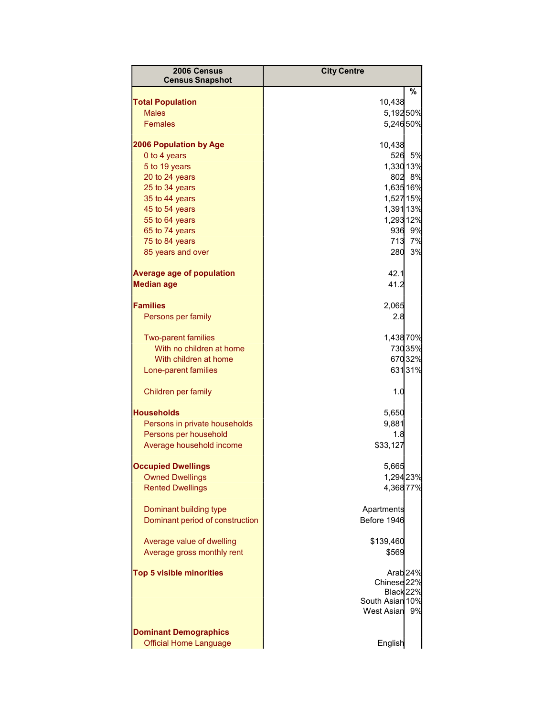| 2006 Census                             | <b>City Centre</b>                            |        |
|-----------------------------------------|-----------------------------------------------|--------|
| <b>Census Snapshot</b>                  |                                               |        |
|                                         |                                               | %      |
| <b>Total Population</b><br><b>Males</b> | 10,438<br>5,19250%                            |        |
| Females                                 | 5,24650%                                      |        |
|                                         |                                               |        |
| <b>2006 Population by Age</b>           | 10,438                                        |        |
| 0 to 4 years                            | 526                                           | 5%     |
| 5 to 19 years                           | 1,330 13%                                     |        |
| 20 to 24 years                          |                                               | 802 8% |
| 25 to 34 years                          | 1,635 16%                                     |        |
| 35 to 44 years                          | 1,527 15%                                     |        |
| 45 to 54 years                          | 1,391 13%<br>1,293 12%                        |        |
| 55 to 64 years<br>65 to 74 years        |                                               | 936 9% |
| 75 to 84 years                          |                                               | 713 7% |
| 85 years and over                       | 280                                           | 3%     |
|                                         |                                               |        |
| <b>Average age of population</b>        | 42.1                                          |        |
| <b>Median age</b>                       | 41.2                                          |        |
|                                         |                                               |        |
| <b>Families</b>                         | 2,065                                         |        |
| Persons per family                      | 2.8                                           |        |
| <b>Two-parent families</b>              | 1,43870%                                      |        |
| With no children at home                |                                               | 73035% |
| With children at home                   |                                               | 67032% |
| Lone-parent families                    |                                               | 63131% |
|                                         |                                               |        |
| Children per family                     | 1.0                                           |        |
| <b>Households</b>                       | 5,650                                         |        |
| Persons in private households           | 9,881                                         |        |
| Persons per household                   | 1.8                                           |        |
| Average household income                | \$33,127                                      |        |
|                                         |                                               |        |
| <b>Occupied Dwellings</b>               | 5,665                                         |        |
| <b>Owned Dwellings</b>                  | 1,294 23%                                     |        |
| <b>Rented Dwellings</b>                 | 4,36877%                                      |        |
| Dominant building type                  | Apartments                                    |        |
| Dominant period of construction         | Before 1946                                   |        |
|                                         |                                               |        |
| Average value of dwelling               | \$139,460                                     |        |
| Average gross monthly rent              | \$569                                         |        |
|                                         |                                               |        |
| <b>Top 5 visible minorities</b>         | Arab <sub>24%</sub><br>Chinese <sub>22%</sub> |        |
|                                         | Black 22%                                     |        |
|                                         | South Asian 10%                               |        |
|                                         | <b>West Asian</b>                             | 9%     |
|                                         |                                               |        |
| <b>Dominant Demographics</b>            |                                               |        |
| <b>Official Home Language</b>           | English                                       |        |